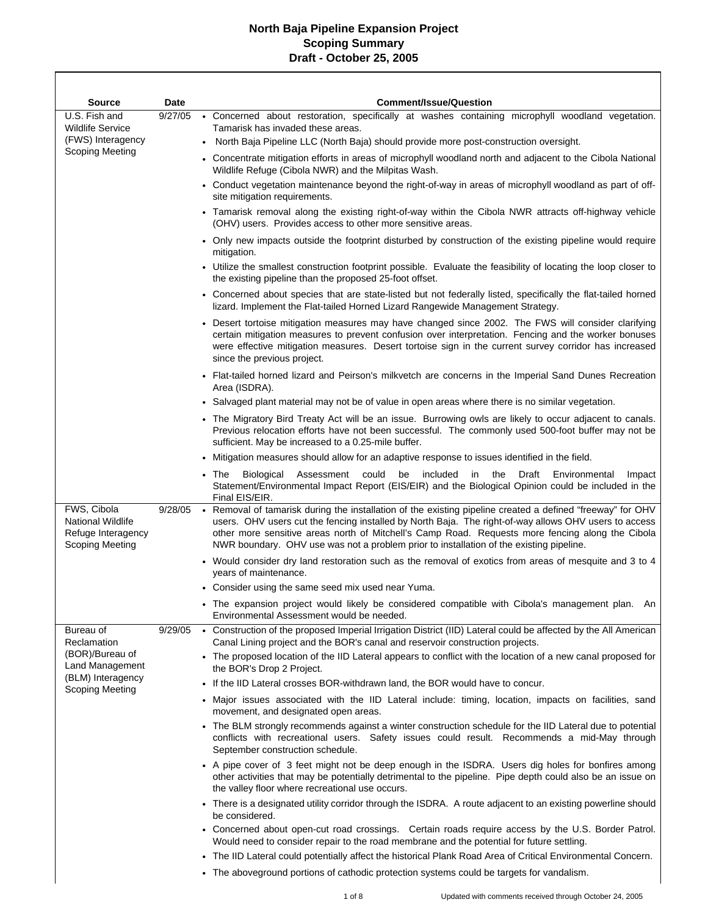$\mathbf{r}$ 

| <b>Source</b>                                                                           | Date    | <b>Comment/Issue/Question</b>                                                                                                                                                                                                                                                                                                                                                                                      |
|-----------------------------------------------------------------------------------------|---------|--------------------------------------------------------------------------------------------------------------------------------------------------------------------------------------------------------------------------------------------------------------------------------------------------------------------------------------------------------------------------------------------------------------------|
| U.S. Fish and<br><b>Wildlife Service</b><br>(FWS) Interagency                           | 9/27/05 | • Concerned about restoration, specifically at washes containing microphyll woodland vegetation.<br>Tamarisk has invaded these areas.<br>North Baja Pipeline LLC (North Baja) should provide more post-construction oversight.<br>$\bullet$                                                                                                                                                                        |
| <b>Scoping Meeting</b>                                                                  |         | • Concentrate mitigation efforts in areas of microphyll woodland north and adjacent to the Cibola National                                                                                                                                                                                                                                                                                                         |
|                                                                                         |         | Wildlife Refuge (Cibola NWR) and the Milpitas Wash.<br>• Conduct vegetation maintenance beyond the right-of-way in areas of microphyll woodland as part of off-                                                                                                                                                                                                                                                    |
|                                                                                         |         | site mitigation requirements.                                                                                                                                                                                                                                                                                                                                                                                      |
|                                                                                         |         | • Tamarisk removal along the existing right-of-way within the Cibola NWR attracts off-highway vehicle<br>(OHV) users. Provides access to other more sensitive areas.                                                                                                                                                                                                                                               |
|                                                                                         |         | • Only new impacts outside the footprint disturbed by construction of the existing pipeline would require<br>mitigation.                                                                                                                                                                                                                                                                                           |
|                                                                                         |         | • Utilize the smallest construction footprint possible. Evaluate the feasibility of locating the loop closer to<br>the existing pipeline than the proposed 25-foot offset.                                                                                                                                                                                                                                         |
|                                                                                         |         | • Concerned about species that are state-listed but not federally listed, specifically the flat-tailed horned<br>lizard. Implement the Flat-tailed Horned Lizard Rangewide Management Strategy.                                                                                                                                                                                                                    |
|                                                                                         |         | • Desert tortoise mitigation measures may have changed since 2002. The FWS will consider clarifying<br>certain mitigation measures to prevent confusion over interpretation. Fencing and the worker bonuses<br>were effective mitigation measures. Desert tortoise sign in the current survey corridor has increased<br>since the previous project.                                                                |
|                                                                                         |         | • Flat-tailed horned lizard and Peirson's milkvetch are concerns in the Imperial Sand Dunes Recreation<br>Area (ISDRA).                                                                                                                                                                                                                                                                                            |
|                                                                                         |         | • Salvaged plant material may not be of value in open areas where there is no similar vegetation.                                                                                                                                                                                                                                                                                                                  |
|                                                                                         |         | • The Migratory Bird Treaty Act will be an issue. Burrowing owls are likely to occur adjacent to canals.<br>Previous relocation efforts have not been successful. The commonly used 500-foot buffer may not be<br>sufficient. May be increased to a 0.25-mile buffer.                                                                                                                                              |
|                                                                                         |         | Mitigation measures should allow for an adaptive response to issues identified in the field.                                                                                                                                                                                                                                                                                                                       |
|                                                                                         |         | The<br>Biological<br>Assessment<br>could<br>be included<br>the<br>Draft<br>Environmental<br>in<br>Impact<br>Statement/Environmental Impact Report (EIS/EIR) and the Biological Opinion could be included in the<br>Final EIS/EIR.                                                                                                                                                                                  |
| FWS, Cibola<br><b>National Wildlife</b><br>Refuge Interagency<br><b>Scoping Meeting</b> | 9/28/05 | . Removal of tamarisk during the installation of the existing pipeline created a defined "freeway" for OHV<br>users. OHV users cut the fencing installed by North Baja. The right-of-way allows OHV users to access<br>other more sensitive areas north of Mitchell's Camp Road. Requests more fencing along the Cibola<br>NWR boundary. OHV use was not a problem prior to installation of the existing pipeline. |
|                                                                                         |         | • Would consider dry land restoration such as the removal of exotics from areas of mesquite and 3 to 4<br>years of maintenance.                                                                                                                                                                                                                                                                                    |
|                                                                                         |         | • Consider using the same seed mix used near Yuma.                                                                                                                                                                                                                                                                                                                                                                 |
|                                                                                         |         | . The expansion project would likely be considered compatible with Cibola's management plan. An<br>Environmental Assessment would be needed.                                                                                                                                                                                                                                                                       |
| Bureau of<br>Reclamation                                                                | 9/29/05 | • Construction of the proposed Imperial Irrigation District (IID) Lateral could be affected by the All American<br>Canal Lining project and the BOR's canal and reservoir construction projects.                                                                                                                                                                                                                   |
| (BOR)/Bureau of<br>Land Management                                                      |         | • The proposed location of the IID Lateral appears to conflict with the location of a new canal proposed for<br>the BOR's Drop 2 Project.                                                                                                                                                                                                                                                                          |
| (BLM) Interagency<br><b>Scoping Meeting</b>                                             |         | • If the IID Lateral crosses BOR-withdrawn land, the BOR would have to concur.                                                                                                                                                                                                                                                                                                                                     |
|                                                                                         |         | Major issues associated with the IID Lateral include: timing, location, impacts on facilities, sand<br>$\bullet$<br>movement, and designated open areas.                                                                                                                                                                                                                                                           |
|                                                                                         |         | • The BLM strongly recommends against a winter construction schedule for the IID Lateral due to potential<br>conflicts with recreational users. Safety issues could result. Recommends a mid-May through<br>September construction schedule.                                                                                                                                                                       |
|                                                                                         |         | • A pipe cover of 3 feet might not be deep enough in the ISDRA. Users dig holes for bonfires among<br>other activities that may be potentially detrimental to the pipeline. Pipe depth could also be an issue on<br>the valley floor where recreational use occurs.                                                                                                                                                |
|                                                                                         |         | • There is a designated utility corridor through the ISDRA. A route adjacent to an existing powerline should<br>be considered.                                                                                                                                                                                                                                                                                     |
|                                                                                         |         | • Concerned about open-cut road crossings. Certain roads require access by the U.S. Border Patrol.<br>Would need to consider repair to the road membrane and the potential for future settling.                                                                                                                                                                                                                    |
|                                                                                         |         | The IID Lateral could potentially affect the historical Plank Road Area of Critical Environmental Concern.                                                                                                                                                                                                                                                                                                         |
|                                                                                         |         | • The aboveground portions of cathodic protection systems could be targets for vandalism.                                                                                                                                                                                                                                                                                                                          |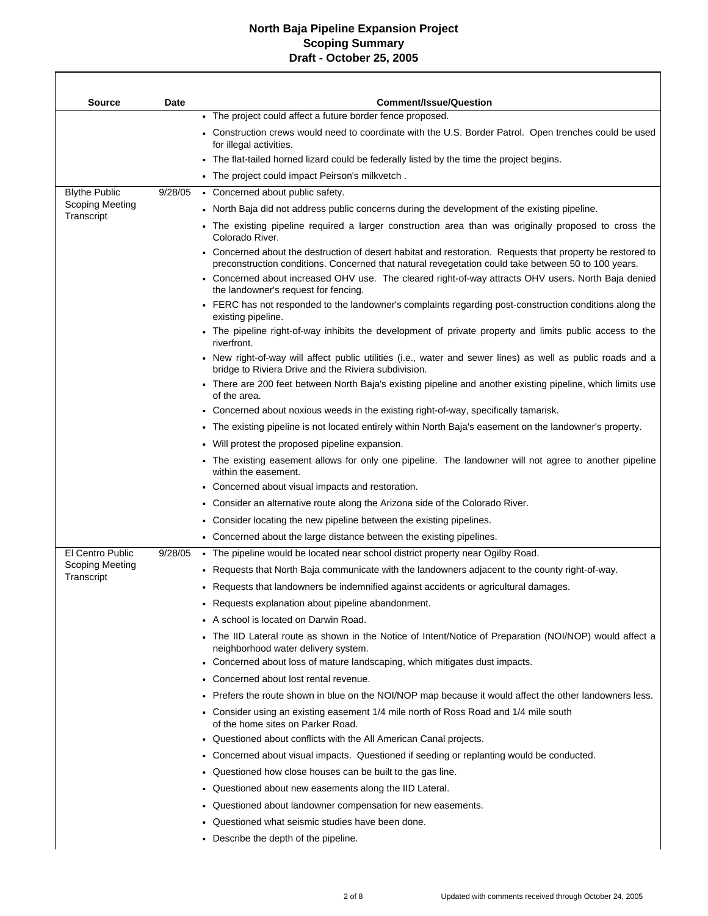Г

| <b>Source</b>                        | <b>Date</b> | <b>Comment/Issue/Question</b>                                                                                                                                                                                     |
|--------------------------------------|-------------|-------------------------------------------------------------------------------------------------------------------------------------------------------------------------------------------------------------------|
|                                      |             | • The project could affect a future border fence proposed.                                                                                                                                                        |
|                                      |             | • Construction crews would need to coordinate with the U.S. Border Patrol. Open trenches could be used<br>for illegal activities.                                                                                 |
|                                      |             | • The flat-tailed horned lizard could be federally listed by the time the project begins.                                                                                                                         |
|                                      |             | • The project could impact Peirson's milkvetch.                                                                                                                                                                   |
| <b>Blythe Public</b>                 | 9/28/05     | • Concerned about public safety.                                                                                                                                                                                  |
| <b>Scoping Meeting</b><br>Transcript |             | • North Baja did not address public concerns during the development of the existing pipeline.                                                                                                                     |
|                                      |             | • The existing pipeline required a larger construction area than was originally proposed to cross the<br>Colorado River.                                                                                          |
|                                      |             | • Concerned about the destruction of desert habitat and restoration. Requests that property be restored to<br>preconstruction conditions. Concerned that natural revegetation could take between 50 to 100 years. |
|                                      |             | • Concerned about increased OHV use. The cleared right-of-way attracts OHV users. North Baja denied<br>the landowner's request for fencing.                                                                       |
|                                      |             | • FERC has not responded to the landowner's complaints regarding post-construction conditions along the<br>existing pipeline.                                                                                     |
|                                      |             | • The pipeline right-of-way inhibits the development of private property and limits public access to the<br>riverfront.                                                                                           |
|                                      |             | • New right-of-way will affect public utilities (i.e., water and sewer lines) as well as public roads and a<br>bridge to Riviera Drive and the Riviera subdivision.                                               |
|                                      |             | • There are 200 feet between North Baja's existing pipeline and another existing pipeline, which limits use<br>of the area.                                                                                       |
|                                      |             | • Concerned about noxious weeds in the existing right-of-way, specifically tamarisk.                                                                                                                              |
|                                      |             | • The existing pipeline is not located entirely within North Baja's easement on the landowner's property.                                                                                                         |
|                                      |             | • Will protest the proposed pipeline expansion.                                                                                                                                                                   |
|                                      |             | • The existing easement allows for only one pipeline. The landowner will not agree to another pipeline<br>within the easement.                                                                                    |
|                                      |             | Concerned about visual impacts and restoration.                                                                                                                                                                   |
|                                      |             | • Consider an alternative route along the Arizona side of the Colorado River.                                                                                                                                     |
|                                      |             | Consider locating the new pipeline between the existing pipelines.                                                                                                                                                |
|                                      |             | • Concerned about the large distance between the existing pipelines.                                                                                                                                              |
| El Centro Public                     | 9/28/05     | • The pipeline would be located near school district property near Ogilby Road.                                                                                                                                   |
| <b>Scoping Meeting</b><br>Transcript |             | Requests that North Baja communicate with the landowners adjacent to the county right-of-way.                                                                                                                     |
|                                      |             | • Requests that landowners be indemnified against accidents or agricultural damages.                                                                                                                              |
|                                      |             | • Requests explanation about pipeline abandonment.                                                                                                                                                                |
|                                      |             | A school is located on Darwin Road.                                                                                                                                                                               |
|                                      |             | The IID Lateral route as shown in the Notice of Intent/Notice of Preparation (NOI/NOP) would affect a<br>neighborhood water delivery system.                                                                      |
|                                      |             | • Concerned about loss of mature landscaping, which mitigates dust impacts.                                                                                                                                       |
|                                      |             | Concerned about lost rental revenue.                                                                                                                                                                              |
|                                      |             | . Prefers the route shown in blue on the NOI/NOP map because it would affect the other landowners less.                                                                                                           |
|                                      |             | • Consider using an existing easement 1/4 mile north of Ross Road and 1/4 mile south<br>of the home sites on Parker Road.                                                                                         |
|                                      |             | • Questioned about conflicts with the All American Canal projects.                                                                                                                                                |
|                                      |             | • Concerned about visual impacts. Questioned if seeding or replanting would be conducted.                                                                                                                         |
|                                      |             | Questioned how close houses can be built to the gas line.                                                                                                                                                         |
|                                      |             | Questioned about new easements along the IID Lateral.                                                                                                                                                             |
|                                      |             | Questioned about landowner compensation for new easements.                                                                                                                                                        |
|                                      |             | Questioned what seismic studies have been done.                                                                                                                                                                   |
|                                      |             | • Describe the depth of the pipeline.                                                                                                                                                                             |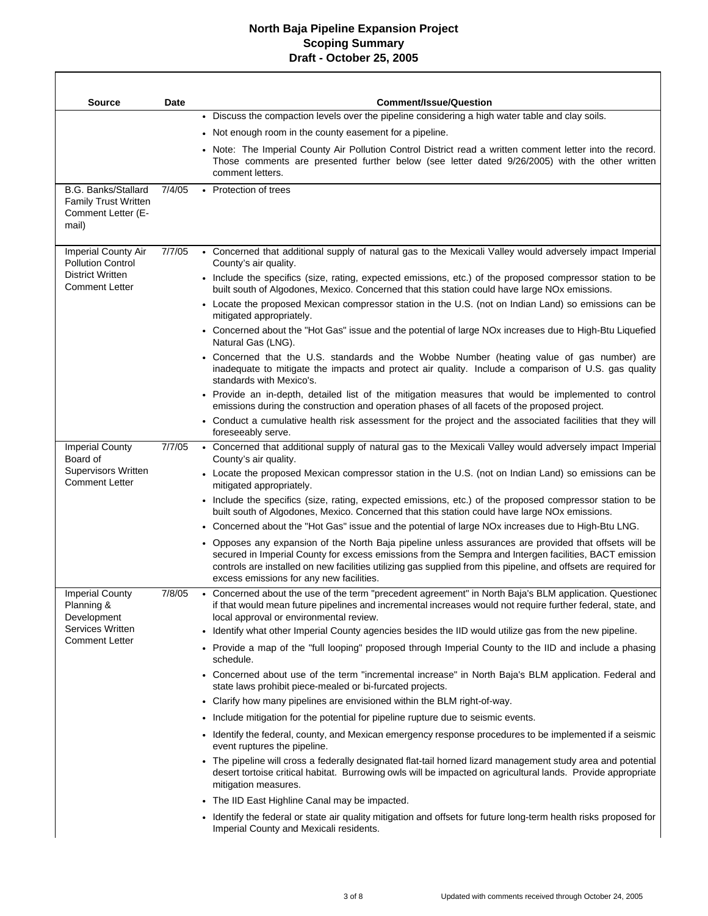| <b>Source</b>                                                                            | Date   | <b>Comment/Issue/Question</b>                                                                                                                                                                                                                                                                                                                                                    |
|------------------------------------------------------------------------------------------|--------|----------------------------------------------------------------------------------------------------------------------------------------------------------------------------------------------------------------------------------------------------------------------------------------------------------------------------------------------------------------------------------|
|                                                                                          |        | • Discuss the compaction levels over the pipeline considering a high water table and clay soils.                                                                                                                                                                                                                                                                                 |
|                                                                                          |        | • Not enough room in the county easement for a pipeline.                                                                                                                                                                                                                                                                                                                         |
|                                                                                          |        | Note: The Imperial County Air Pollution Control District read a written comment letter into the record.<br>Those comments are presented further below (see letter dated 9/26/2005) with the other written<br>comment letters.                                                                                                                                                    |
| <b>B.G. Banks/Stallard</b><br><b>Family Trust Written</b><br>Comment Letter (E-<br>mail) | 7/4/05 | • Protection of trees                                                                                                                                                                                                                                                                                                                                                            |
| Imperial County Air<br><b>Pollution Control</b>                                          | 7/7/05 | • Concerned that additional supply of natural gas to the Mexicali Valley would adversely impact Imperial<br>County's air quality.                                                                                                                                                                                                                                                |
| <b>District Written</b><br><b>Comment Letter</b>                                         |        | • Include the specifics (size, rating, expected emissions, etc.) of the proposed compressor station to be<br>built south of Algodones, Mexico. Concerned that this station could have large NOx emissions.                                                                                                                                                                       |
|                                                                                          |        | • Locate the proposed Mexican compressor station in the U.S. (not on Indian Land) so emissions can be<br>mitigated appropriately.                                                                                                                                                                                                                                                |
|                                                                                          |        | • Concerned about the "Hot Gas" issue and the potential of large NOx increases due to High-Btu Liquefied<br>Natural Gas (LNG).                                                                                                                                                                                                                                                   |
|                                                                                          |        | • Concerned that the U.S. standards and the Wobbe Number (heating value of gas number) are<br>inadequate to mitigate the impacts and protect air quality. Include a comparison of U.S. gas quality<br>standards with Mexico's.                                                                                                                                                   |
|                                                                                          |        | • Provide an in-depth, detailed list of the mitigation measures that would be implemented to control<br>emissions during the construction and operation phases of all facets of the proposed project.                                                                                                                                                                            |
|                                                                                          |        | • Conduct a cumulative health risk assessment for the project and the associated facilities that they will<br>foreseeably serve.                                                                                                                                                                                                                                                 |
| <b>Imperial County</b><br>Board of                                                       | 7/7/05 | • Concerned that additional supply of natural gas to the Mexicali Valley would adversely impact Imperial<br>County's air quality.                                                                                                                                                                                                                                                |
| <b>Supervisors Written</b><br><b>Comment Letter</b>                                      |        | • Locate the proposed Mexican compressor station in the U.S. (not on Indian Land) so emissions can be<br>mitigated appropriately.                                                                                                                                                                                                                                                |
|                                                                                          |        | • Include the specifics (size, rating, expected emissions, etc.) of the proposed compressor station to be<br>built south of Algodones, Mexico. Concerned that this station could have large NOx emissions.                                                                                                                                                                       |
|                                                                                          |        | . Concerned about the "Hot Gas" issue and the potential of large NOx increases due to High-Btu LNG.                                                                                                                                                                                                                                                                              |
|                                                                                          |        | • Opposes any expansion of the North Baja pipeline unless assurances are provided that offsets will be<br>secured in Imperial County for excess emissions from the Sempra and Intergen facilities, BACT emission<br>controls are installed on new facilities utilizing gas supplied from this pipeline, and offsets are required for<br>excess emissions for any new facilities. |
| <b>Imperial County</b><br>Planning &<br>Development                                      | 7/8/05 | • Concerned about the use of the term "precedent agreement" in North Baja's BLM application. Questionec<br>if that would mean future pipelines and incremental increases would not require further federal, state, and<br>local approval or environmental review.                                                                                                                |
| Services Written<br><b>Comment Letter</b>                                                |        | • Identify what other Imperial County agencies besides the IID would utilize gas from the new pipeline.                                                                                                                                                                                                                                                                          |
|                                                                                          |        | • Provide a map of the "full looping" proposed through Imperial County to the IID and include a phasing<br>schedule.                                                                                                                                                                                                                                                             |
|                                                                                          |        | • Concerned about use of the term "incremental increase" in North Baja's BLM application. Federal and<br>state laws prohibit piece-mealed or bi-furcated projects.                                                                                                                                                                                                               |
|                                                                                          |        | • Clarify how many pipelines are envisioned within the BLM right-of-way.                                                                                                                                                                                                                                                                                                         |
|                                                                                          |        | . Include mitigation for the potential for pipeline rupture due to seismic events.                                                                                                                                                                                                                                                                                               |
|                                                                                          |        | • Identify the federal, county, and Mexican emergency response procedures to be implemented if a seismic<br>event ruptures the pipeline.                                                                                                                                                                                                                                         |
|                                                                                          |        | • The pipeline will cross a federally designated flat-tail horned lizard management study area and potential<br>desert tortoise critical habitat. Burrowing owls will be impacted on agricultural lands. Provide appropriate<br>mitigation measures.                                                                                                                             |
|                                                                                          |        | • The IID East Highline Canal may be impacted.                                                                                                                                                                                                                                                                                                                                   |
|                                                                                          |        | • Identify the federal or state air quality mitigation and offsets for future long-term health risks proposed for<br>Imperial County and Mexicali residents.                                                                                                                                                                                                                     |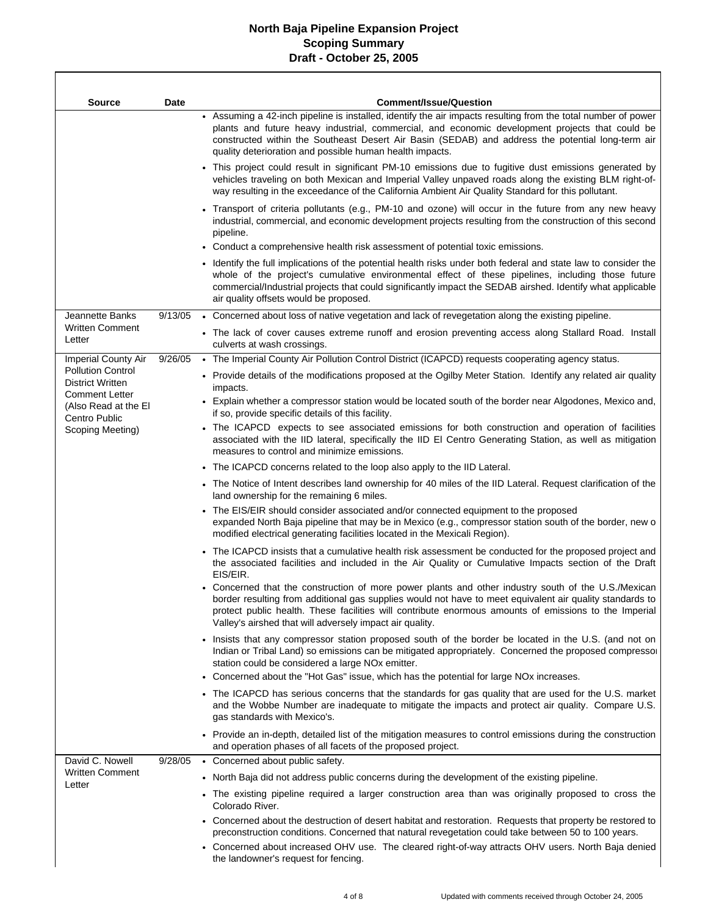$\Gamma$ 

| <b>Source</b>                                                                | Date    | <b>Comment/Issue/Question</b>                                                                                                                                                                                                                                                                                                                                                        |
|------------------------------------------------------------------------------|---------|--------------------------------------------------------------------------------------------------------------------------------------------------------------------------------------------------------------------------------------------------------------------------------------------------------------------------------------------------------------------------------------|
|                                                                              |         | • Assuming a 42-inch pipeline is installed, identify the air impacts resulting from the total number of power<br>plants and future heavy industrial, commercial, and economic development projects that could be<br>constructed within the Southeast Desert Air Basin (SEDAB) and address the potential long-term air<br>quality deterioration and possible human health impacts.    |
|                                                                              |         | This project could result in significant PM-10 emissions due to fugitive dust emissions generated by<br>vehicles traveling on both Mexican and Imperial Valley unpaved roads along the existing BLM right-of-<br>way resulting in the exceedance of the California Ambient Air Quality Standard for this pollutant.                                                                  |
|                                                                              |         | Transport of criteria pollutants (e.g., PM-10 and ozone) will occur in the future from any new heavy<br>industrial, commercial, and economic development projects resulting from the construction of this second<br>pipeline.<br>• Conduct a comprehensive health risk assessment of potential toxic emissions.                                                                      |
|                                                                              |         | • Identify the full implications of the potential health risks under both federal and state law to consider the<br>whole of the project's cumulative environmental effect of these pipelines, including those future<br>commercial/Industrial projects that could significantly impact the SEDAB airshed. Identify what applicable<br>air quality offsets would be proposed.         |
| Jeannette Banks                                                              | 9/13/05 | • Concerned about loss of native vegetation and lack of revegetation along the existing pipeline.                                                                                                                                                                                                                                                                                    |
| <b>Written Comment</b><br>Letter                                             |         | • The lack of cover causes extreme runoff and erosion preventing access along Stallard Road. Install<br>culverts at wash crossings.                                                                                                                                                                                                                                                  |
| <b>Imperial County Air</b>                                                   | 9/26/05 | • The Imperial County Air Pollution Control District (ICAPCD) requests cooperating agency status.                                                                                                                                                                                                                                                                                    |
| <b>Pollution Control</b><br><b>District Written</b><br><b>Comment Letter</b> |         | • Provide details of the modifications proposed at the Ogilby Meter Station. Identify any related air quality<br>impacts.                                                                                                                                                                                                                                                            |
| (Also Read at the El<br>Centro Public                                        |         | • Explain whether a compressor station would be located south of the border near Algodones, Mexico and,<br>if so, provide specific details of this facility.                                                                                                                                                                                                                         |
| Scoping Meeting)                                                             |         | • The ICAPCD expects to see associated emissions for both construction and operation of facilities<br>associated with the IID lateral, specifically the IID EI Centro Generating Station, as well as mitigation<br>measures to control and minimize emissions.                                                                                                                       |
|                                                                              |         | • The ICAPCD concerns related to the loop also apply to the IID Lateral.                                                                                                                                                                                                                                                                                                             |
|                                                                              |         | • The Notice of Intent describes land ownership for 40 miles of the IID Lateral. Request clarification of the<br>land ownership for the remaining 6 miles.                                                                                                                                                                                                                           |
|                                                                              |         | • The EIS/EIR should consider associated and/or connected equipment to the proposed<br>expanded North Baja pipeline that may be in Mexico (e.g., compressor station south of the border, new o<br>modified electrical generating facilities located in the Mexicali Region).                                                                                                         |
|                                                                              |         | • The ICAPCD insists that a cumulative health risk assessment be conducted for the proposed project and<br>the associated facilities and included in the Air Quality or Cumulative Impacts section of the Draft<br>EIS/EIR.                                                                                                                                                          |
|                                                                              |         | • Concerned that the construction of more power plants and other industry south of the U.S./Mexican<br>border resulting from additional gas supplies would not have to meet equivalent air quality standards to<br>protect public health. These facilities will contribute enormous amounts of emissions to the Imperial<br>Valley's airshed that will adversely impact air quality. |
|                                                                              |         | . Insists that any compressor station proposed south of the border be located in the U.S. (and not on<br>Indian or Tribal Land) so emissions can be mitigated appropriately. Concerned the proposed compressor<br>station could be considered a large NO <sub>x</sub> emitter.                                                                                                       |
|                                                                              |         | Concerned about the "Hot Gas" issue, which has the potential for large NO <sub>x</sub> increases.                                                                                                                                                                                                                                                                                    |
|                                                                              |         | • The ICAPCD has serious concerns that the standards for gas quality that are used for the U.S. market<br>and the Wobbe Number are inadequate to mitigate the impacts and protect air quality. Compare U.S.<br>gas standards with Mexico's.                                                                                                                                          |
|                                                                              |         | • Provide an in-depth, detailed list of the mitigation measures to control emissions during the construction<br>and operation phases of all facets of the proposed project.                                                                                                                                                                                                          |
| David C. Nowell                                                              | 9/28/05 | • Concerned about public safety.                                                                                                                                                                                                                                                                                                                                                     |
| <b>Written Comment</b><br>Letter                                             |         | • North Baja did not address public concerns during the development of the existing pipeline.                                                                                                                                                                                                                                                                                        |
|                                                                              |         | The existing pipeline required a larger construction area than was originally proposed to cross the<br>Colorado River.                                                                                                                                                                                                                                                               |
|                                                                              |         | • Concerned about the destruction of desert habitat and restoration. Requests that property be restored to<br>preconstruction conditions. Concerned that natural revegetation could take between 50 to 100 years.                                                                                                                                                                    |
|                                                                              |         | Concerned about increased OHV use. The cleared right-of-way attracts OHV users. North Baja denied<br>the landowner's request for fencing.                                                                                                                                                                                                                                            |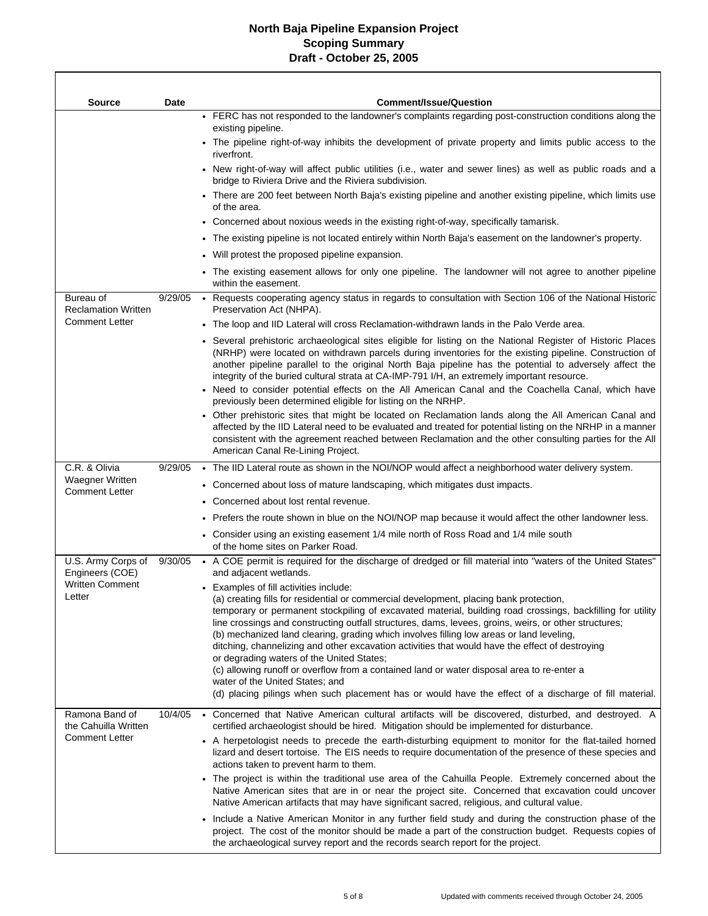$\Gamma$ 

| <b>Source</b>                                   | <b>Date</b> | <b>Comment/Issue/Question</b>                                                                                                                                                                                                                                                                                                                                                                                                                                                                                                                                                                                                                                                                                                                                                                                                                 |
|-------------------------------------------------|-------------|-----------------------------------------------------------------------------------------------------------------------------------------------------------------------------------------------------------------------------------------------------------------------------------------------------------------------------------------------------------------------------------------------------------------------------------------------------------------------------------------------------------------------------------------------------------------------------------------------------------------------------------------------------------------------------------------------------------------------------------------------------------------------------------------------------------------------------------------------|
|                                                 |             | • FERC has not responded to the landowner's complaints regarding post-construction conditions along the<br>existing pipeline.                                                                                                                                                                                                                                                                                                                                                                                                                                                                                                                                                                                                                                                                                                                 |
|                                                 |             | • The pipeline right-of-way inhibits the development of private property and limits public access to the<br>riverfront.                                                                                                                                                                                                                                                                                                                                                                                                                                                                                                                                                                                                                                                                                                                       |
|                                                 |             | • New right-of-way will affect public utilities (i.e., water and sewer lines) as well as public roads and a<br>bridge to Riviera Drive and the Riviera subdivision.                                                                                                                                                                                                                                                                                                                                                                                                                                                                                                                                                                                                                                                                           |
|                                                 |             | • There are 200 feet between North Baja's existing pipeline and another existing pipeline, which limits use<br>of the area.                                                                                                                                                                                                                                                                                                                                                                                                                                                                                                                                                                                                                                                                                                                   |
|                                                 |             | • Concerned about noxious weeds in the existing right-of-way, specifically tamarisk.                                                                                                                                                                                                                                                                                                                                                                                                                                                                                                                                                                                                                                                                                                                                                          |
|                                                 |             | • The existing pipeline is not located entirely within North Baja's easement on the landowner's property.                                                                                                                                                                                                                                                                                                                                                                                                                                                                                                                                                                                                                                                                                                                                     |
|                                                 |             | • Will protest the proposed pipeline expansion.                                                                                                                                                                                                                                                                                                                                                                                                                                                                                                                                                                                                                                                                                                                                                                                               |
|                                                 |             | • The existing easement allows for only one pipeline. The landowner will not agree to another pipeline<br>within the easement.                                                                                                                                                                                                                                                                                                                                                                                                                                                                                                                                                                                                                                                                                                                |
| Bureau of<br><b>Reclamation Written</b>         | 9/29/05     | • Requests cooperating agency status in regards to consultation with Section 106 of the National Historic<br>Preservation Act (NHPA).                                                                                                                                                                                                                                                                                                                                                                                                                                                                                                                                                                                                                                                                                                         |
| <b>Comment Letter</b>                           |             | • The loop and IID Lateral will cross Reclamation-withdrawn lands in the Palo Verde area.                                                                                                                                                                                                                                                                                                                                                                                                                                                                                                                                                                                                                                                                                                                                                     |
|                                                 |             | • Several prehistoric archaeological sites eligible for listing on the National Register of Historic Places<br>(NRHP) were located on withdrawn parcels during inventories for the existing pipeline. Construction of<br>another pipeline parallel to the original North Baja pipeline has the potential to adversely affect the<br>integrity of the buried cultural strata at CA-IMP-791 I/H, an extremely important resource.<br>• Need to consider potential effects on the All American Canal and the Coachella Canal, which have<br>previously been determined eligible for listing on the NRHP.                                                                                                                                                                                                                                         |
|                                                 |             | • Other prehistoric sites that might be located on Reclamation lands along the All American Canal and<br>affected by the IID Lateral need to be evaluated and treated for potential listing on the NRHP in a manner<br>consistent with the agreement reached between Reclamation and the other consulting parties for the All<br>American Canal Re-Lining Project.                                                                                                                                                                                                                                                                                                                                                                                                                                                                            |
| C.R. & Olivia                                   | 9/29/05     | • The IID Lateral route as shown in the NOI/NOP would affect a neighborhood water delivery system.                                                                                                                                                                                                                                                                                                                                                                                                                                                                                                                                                                                                                                                                                                                                            |
| <b>Waegner Written</b><br><b>Comment Letter</b> |             | • Concerned about loss of mature landscaping, which mitigates dust impacts.                                                                                                                                                                                                                                                                                                                                                                                                                                                                                                                                                                                                                                                                                                                                                                   |
|                                                 |             | • Concerned about lost rental revenue.                                                                                                                                                                                                                                                                                                                                                                                                                                                                                                                                                                                                                                                                                                                                                                                                        |
|                                                 |             | • Prefers the route shown in blue on the NOI/NOP map because it would affect the other landowner less.                                                                                                                                                                                                                                                                                                                                                                                                                                                                                                                                                                                                                                                                                                                                        |
|                                                 |             | • Consider using an existing easement 1/4 mile north of Ross Road and 1/4 mile south<br>of the home sites on Parker Road.                                                                                                                                                                                                                                                                                                                                                                                                                                                                                                                                                                                                                                                                                                                     |
| U.S. Army Corps of<br>Engineers (COE)           | 9/30/05     | • A COE permit is required for the discharge of dredged or fill material into "waters of the United States"<br>and adjacent wetlands.                                                                                                                                                                                                                                                                                                                                                                                                                                                                                                                                                                                                                                                                                                         |
| <b>Written Comment</b><br>Letter                |             | • Examples of fill activities include:<br>(a) creating fills for residential or commercial development, placing bank protection,<br>temporary or permanent stockpiling of excavated material, building road crossings, backfilling for utility<br>line crossings and constructing outfall structures, dams, levees, groins, weirs, or other structures;<br>(b) mechanized land clearing, grading which involves filling low areas or land leveling,<br>ditching, channelizing and other excavation activities that would have the effect of destroying<br>or degrading waters of the United States;<br>(c) allowing runoff or overflow from a contained land or water disposal area to re-enter a<br>water of the United States; and<br>(d) placing pilings when such placement has or would have the effect of a discharge of fill material. |
| Ramona Band of<br>the Cahuilla Written          | 10/4/05     | • Concerned that Native American cultural artifacts will be discovered, disturbed, and destroyed. A<br>certified archaeologist should be hired. Mitigation should be implemented for disturbance.                                                                                                                                                                                                                                                                                                                                                                                                                                                                                                                                                                                                                                             |
| <b>Comment Letter</b>                           |             | • A herpetologist needs to precede the earth-disturbing equipment to monitor for the flat-tailed horned<br>lizard and desert tortoise. The EIS needs to require documentation of the presence of these species and<br>actions taken to prevent harm to them.                                                                                                                                                                                                                                                                                                                                                                                                                                                                                                                                                                                  |
|                                                 |             | • The project is within the traditional use area of the Cahuilla People. Extremely concerned about the<br>Native American sites that are in or near the project site. Concerned that excavation could uncover<br>Native American artifacts that may have significant sacred, religious, and cultural value.                                                                                                                                                                                                                                                                                                                                                                                                                                                                                                                                   |
|                                                 |             | • Include a Native American Monitor in any further field study and during the construction phase of the<br>project. The cost of the monitor should be made a part of the construction budget. Requests copies of<br>the archaeological survey report and the records search report for the project.                                                                                                                                                                                                                                                                                                                                                                                                                                                                                                                                           |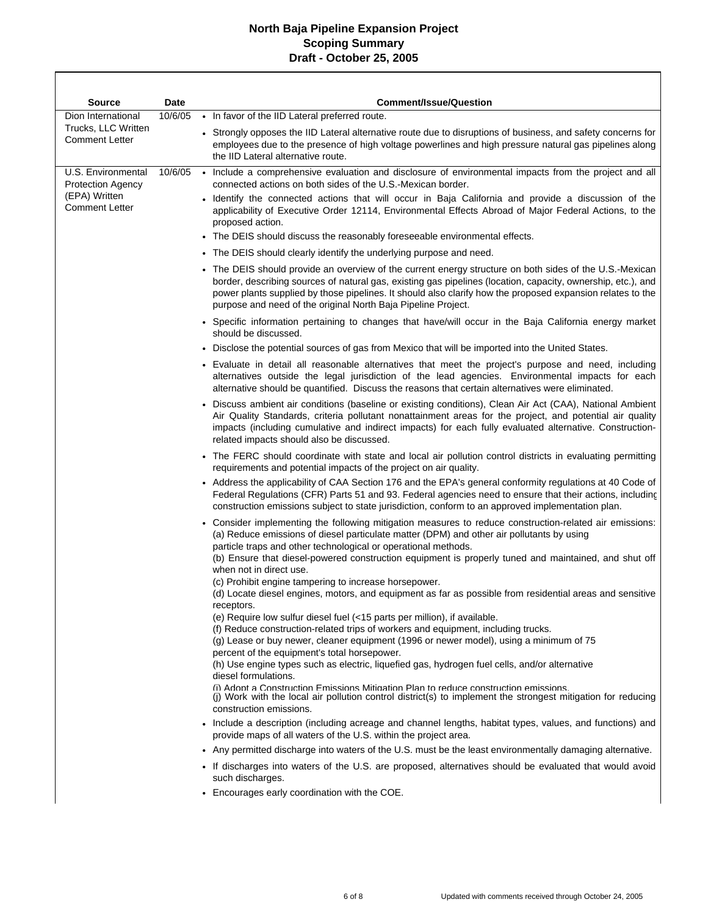г

| <b>Source</b>                                                                            | <b>Date</b> | <b>Comment/Issue/Question</b>                                                                                                                                                                                                                                                                                                                                                                          |                                                                                                                                                                                                                                                                                                                                                                             |
|------------------------------------------------------------------------------------------|-------------|--------------------------------------------------------------------------------------------------------------------------------------------------------------------------------------------------------------------------------------------------------------------------------------------------------------------------------------------------------------------------------------------------------|-----------------------------------------------------------------------------------------------------------------------------------------------------------------------------------------------------------------------------------------------------------------------------------------------------------------------------------------------------------------------------|
| Dion International                                                                       | 10/6/05     | • In favor of the IID Lateral preferred route.                                                                                                                                                                                                                                                                                                                                                         |                                                                                                                                                                                                                                                                                                                                                                             |
| Trucks, LLC Written<br><b>Comment Letter</b>                                             |             | • Strongly opposes the IID Lateral alternative route due to disruptions of business, and safety concerns for<br>employees due to the presence of high voltage powerlines and high pressure natural gas pipelines along<br>the IID Lateral alternative route.                                                                                                                                           |                                                                                                                                                                                                                                                                                                                                                                             |
| U.S. Environmental<br><b>Protection Agency</b><br>(EPA) Written<br><b>Comment Letter</b> | 10/6/05     | • Include a comprehensive evaluation and disclosure of environmental impacts from the project and all<br>connected actions on both sides of the U.S.-Mexican border.                                                                                                                                                                                                                                   |                                                                                                                                                                                                                                                                                                                                                                             |
|                                                                                          |             | • Identify the connected actions that will occur in Baja California and provide a discussion of the<br>applicability of Executive Order 12114, Environmental Effects Abroad of Major Federal Actions, to the<br>proposed action.<br>• The DEIS should discuss the reasonably foreseeable environmental effects.                                                                                        |                                                                                                                                                                                                                                                                                                                                                                             |
|                                                                                          |             | • The DEIS should clearly identify the underlying purpose and need.                                                                                                                                                                                                                                                                                                                                    |                                                                                                                                                                                                                                                                                                                                                                             |
|                                                                                          |             | • The DEIS should provide an overview of the current energy structure on both sides of the U.S.-Mexican<br>border, describing sources of natural gas, existing gas pipelines (location, capacity, ownership, etc.), and<br>power plants supplied by those pipelines. It should also clarify how the proposed expansion relates to the<br>purpose and need of the original North Baja Pipeline Project. |                                                                                                                                                                                                                                                                                                                                                                             |
|                                                                                          |             | • Specific information pertaining to changes that have/will occur in the Baja California energy market<br>should be discussed.                                                                                                                                                                                                                                                                         |                                                                                                                                                                                                                                                                                                                                                                             |
|                                                                                          |             | . Disclose the potential sources of gas from Mexico that will be imported into the United States.                                                                                                                                                                                                                                                                                                      |                                                                                                                                                                                                                                                                                                                                                                             |
|                                                                                          |             | • Evaluate in detail all reasonable alternatives that meet the project's purpose and need, including<br>alternatives outside the legal jurisdiction of the lead agencies. Environmental impacts for each<br>alternative should be quantified. Discuss the reasons that certain alternatives were eliminated.                                                                                           |                                                                                                                                                                                                                                                                                                                                                                             |
|                                                                                          |             |                                                                                                                                                                                                                                                                                                                                                                                                        | Discuss ambient air conditions (baseline or existing conditions), Clean Air Act (CAA), National Ambient<br>Air Quality Standards, criteria pollutant nonattainment areas for the project, and potential air quality<br>impacts (including cumulative and indirect impacts) for each fully evaluated alternative. Construction-<br>related impacts should also be discussed. |
|                                                                                          |             | • The FERC should coordinate with state and local air pollution control districts in evaluating permitting<br>requirements and potential impacts of the project on air quality.                                                                                                                                                                                                                        |                                                                                                                                                                                                                                                                                                                                                                             |
|                                                                                          |             | • Address the applicability of CAA Section 176 and the EPA's general conformity regulations at 40 Code of<br>Federal Regulations (CFR) Parts 51 and 93. Federal agencies need to ensure that their actions, including<br>construction emissions subject to state jurisdiction, conform to an approved implementation plan.                                                                             |                                                                                                                                                                                                                                                                                                                                                                             |
|                                                                                          |             | • Consider implementing the following mitigation measures to reduce construction-related air emissions:<br>(a) Reduce emissions of diesel particulate matter (DPM) and other air pollutants by using<br>particle traps and other technological or operational methods.                                                                                                                                 |                                                                                                                                                                                                                                                                                                                                                                             |
|                                                                                          |             | (b) Ensure that diesel-powered construction equipment is properly tuned and maintained, and shut off<br>when not in direct use.                                                                                                                                                                                                                                                                        |                                                                                                                                                                                                                                                                                                                                                                             |
|                                                                                          |             | (c) Prohibit engine tampering to increase horsepower.<br>(d) Locate diesel engines, motors, and equipment as far as possible from residential areas and sensitive<br>receptors.                                                                                                                                                                                                                        |                                                                                                                                                                                                                                                                                                                                                                             |
|                                                                                          |             | (e) Require low sulfur diesel fuel (<15 parts per million), if available.                                                                                                                                                                                                                                                                                                                              |                                                                                                                                                                                                                                                                                                                                                                             |
|                                                                                          |             | (f) Reduce construction-related trips of workers and equipment, including trucks.<br>(g) Lease or buy newer, cleaner equipment (1996 or newer model), using a minimum of 75<br>percent of the equipment's total horsepower.                                                                                                                                                                            |                                                                                                                                                                                                                                                                                                                                                                             |
|                                                                                          |             | (h) Use engine types such as electric, liquefied gas, hydrogen fuel cells, and/or alternative                                                                                                                                                                                                                                                                                                          |                                                                                                                                                                                                                                                                                                                                                                             |
|                                                                                          |             | diesel formulations.<br>(i) Adopt a Construction Emissions Mitigation Plan to reduce construction emissions.<br>(j) Work with the local air pollution control district(s) to implement the strongest mitigation for reducing<br>construction emissions.                                                                                                                                                |                                                                                                                                                                                                                                                                                                                                                                             |
|                                                                                          |             | • Include a description (including acreage and channel lengths, habitat types, values, and functions) and<br>provide maps of all waters of the U.S. within the project area.                                                                                                                                                                                                                           |                                                                                                                                                                                                                                                                                                                                                                             |
|                                                                                          |             | • Any permitted discharge into waters of the U.S. must be the least environmentally damaging alternative.                                                                                                                                                                                                                                                                                              |                                                                                                                                                                                                                                                                                                                                                                             |
|                                                                                          |             | • If discharges into waters of the U.S. are proposed, alternatives should be evaluated that would avoid<br>such discharges.                                                                                                                                                                                                                                                                            |                                                                                                                                                                                                                                                                                                                                                                             |
|                                                                                          |             | • Encourages early coordination with the COE.                                                                                                                                                                                                                                                                                                                                                          |                                                                                                                                                                                                                                                                                                                                                                             |
|                                                                                          |             |                                                                                                                                                                                                                                                                                                                                                                                                        |                                                                                                                                                                                                                                                                                                                                                                             |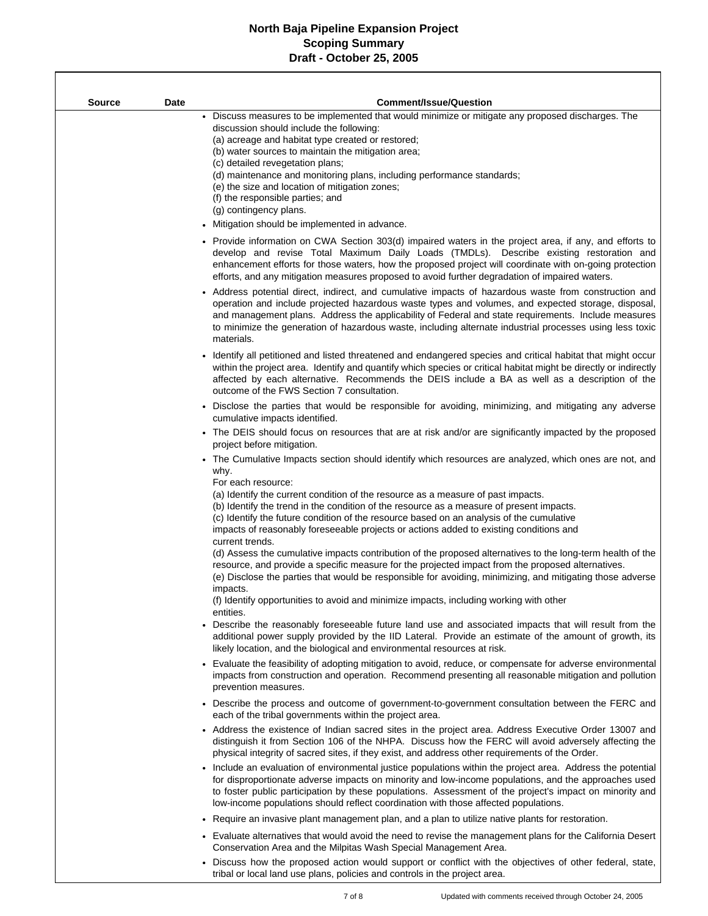$\overline{\phantom{a}}$ 

| Source | Date | <b>Comment/Issue/Question</b>                                                                                                                                                                                                                                                                                                                                                                                                                                                                                                                                                                                                                                                                                                     |
|--------|------|-----------------------------------------------------------------------------------------------------------------------------------------------------------------------------------------------------------------------------------------------------------------------------------------------------------------------------------------------------------------------------------------------------------------------------------------------------------------------------------------------------------------------------------------------------------------------------------------------------------------------------------------------------------------------------------------------------------------------------------|
|        |      | Discuss measures to be implemented that would minimize or mitigate any proposed discharges. The<br>discussion should include the following:<br>(a) acreage and habitat type created or restored;<br>(b) water sources to maintain the mitigation area;<br>(c) detailed revegetation plans;<br>(d) maintenance and monitoring plans, including performance standards;<br>(e) the size and location of mitigation zones;<br>(f) the responsible parties; and<br>(g) contingency plans.                                                                                                                                                                                                                                              |
|        |      | • Mitigation should be implemented in advance.                                                                                                                                                                                                                                                                                                                                                                                                                                                                                                                                                                                                                                                                                    |
|        |      | • Provide information on CWA Section 303(d) impaired waters in the project area, if any, and efforts to<br>develop and revise Total Maximum Daily Loads (TMDLs). Describe existing restoration and<br>enhancement efforts for those waters, how the proposed project will coordinate with on-going protection<br>efforts, and any mitigation measures proposed to avoid further degradation of impaired waters.                                                                                                                                                                                                                                                                                                                   |
|        |      | • Address potential direct, indirect, and cumulative impacts of hazardous waste from construction and<br>operation and include projected hazardous waste types and volumes, and expected storage, disposal,<br>and management plans. Address the applicability of Federal and state requirements. Include measures<br>to minimize the generation of hazardous waste, including alternate industrial processes using less toxic<br>materials.                                                                                                                                                                                                                                                                                      |
|        |      | • Identify all petitioned and listed threatened and endangered species and critical habitat that might occur<br>within the project area. Identify and quantify which species or critical habitat might be directly or indirectly<br>affected by each alternative. Recommends the DEIS include a BA as well as a description of the<br>outcome of the FWS Section 7 consultation.                                                                                                                                                                                                                                                                                                                                                  |
|        |      | • Disclose the parties that would be responsible for avoiding, minimizing, and mitigating any adverse<br>cumulative impacts identified.                                                                                                                                                                                                                                                                                                                                                                                                                                                                                                                                                                                           |
|        |      | • The DEIS should focus on resources that are at risk and/or are significantly impacted by the proposed<br>project before mitigation.                                                                                                                                                                                                                                                                                                                                                                                                                                                                                                                                                                                             |
|        |      | • The Cumulative Impacts section should identify which resources are analyzed, which ones are not, and<br>why.<br>For each resource:                                                                                                                                                                                                                                                                                                                                                                                                                                                                                                                                                                                              |
|        |      | (a) Identify the current condition of the resource as a measure of past impacts.<br>(b) Identify the trend in the condition of the resource as a measure of present impacts.<br>(c) Identify the future condition of the resource based on an analysis of the cumulative<br>impacts of reasonably foreseeable projects or actions added to existing conditions and<br>current trends.<br>(d) Assess the cumulative impacts contribution of the proposed alternatives to the long-term health of the<br>resource, and provide a specific measure for the projected impact from the proposed alternatives.<br>(e) Disclose the parties that would be responsible for avoiding, minimizing, and mitigating those adverse<br>impacts. |
|        |      | (f) Identify opportunities to avoid and minimize impacts, including working with other                                                                                                                                                                                                                                                                                                                                                                                                                                                                                                                                                                                                                                            |
|        |      | entities.<br>Describe the reasonably foreseeable future land use and associated impacts that will result from the<br>additional power supply provided by the IID Lateral. Provide an estimate of the amount of growth, its<br>likely location, and the biological and environmental resources at risk.                                                                                                                                                                                                                                                                                                                                                                                                                            |
|        |      | • Evaluate the feasibility of adopting mitigation to avoid, reduce, or compensate for adverse environmental<br>impacts from construction and operation. Recommend presenting all reasonable mitigation and pollution<br>prevention measures.                                                                                                                                                                                                                                                                                                                                                                                                                                                                                      |
|        |      | • Describe the process and outcome of government-to-government consultation between the FERC and<br>each of the tribal governments within the project area.                                                                                                                                                                                                                                                                                                                                                                                                                                                                                                                                                                       |
|        |      | • Address the existence of Indian sacred sites in the project area. Address Executive Order 13007 and<br>distinguish it from Section 106 of the NHPA. Discuss how the FERC will avoid adversely affecting the<br>physical integrity of sacred sites, if they exist, and address other requirements of the Order.                                                                                                                                                                                                                                                                                                                                                                                                                  |
|        |      | • Include an evaluation of environmental justice populations within the project area. Address the potential<br>for disproportionate adverse impacts on minority and low-income populations, and the approaches used<br>to foster public participation by these populations. Assessment of the project's impact on minority and<br>low-income populations should reflect coordination with those affected populations.                                                                                                                                                                                                                                                                                                             |
|        |      | Require an invasive plant management plan, and a plan to utilize native plants for restoration.                                                                                                                                                                                                                                                                                                                                                                                                                                                                                                                                                                                                                                   |
|        |      | Evaluate alternatives that would avoid the need to revise the management plans for the California Desert<br>Conservation Area and the Milpitas Wash Special Management Area.                                                                                                                                                                                                                                                                                                                                                                                                                                                                                                                                                      |
|        |      | Discuss how the proposed action would support or conflict with the objectives of other federal state                                                                                                                                                                                                                                                                                                                                                                                                                                                                                                                                                                                                                              |

iss how the proposed action would support or conflict with the objectives of other fe tribal or local land use plans, policies and controls in the project area.